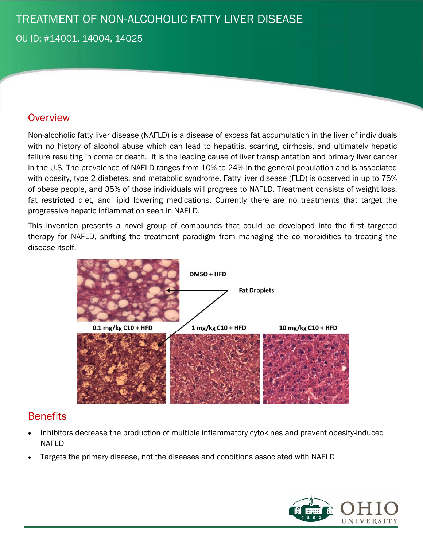# TREATMENT OF NON-ALCOHOLIC FATTY LIVER DISEASE

OU ID: #14001, 14004, 14025

#### **Overview**

Non-alcoholic fatty liver disease (NAFLD) is a disease of excess fat accumulation in the liver of individuals with no history of alcohol abuse which can lead to hepatitis, scarring, cirrhosis, and ultimately hepatic failure resulting in coma or death. It is the leading cause of liver transplantation and primary liver cancer in the U.S. The prevalence of NAFLD ranges from 10% to 24% in the general population and is associated with obesity, type 2 diabetes, and metabolic syndrome. Fatty liver disease (FLD) is observed in up to 75% of obese people, and 35% of those individuals will progress to NAFLD. Treatment consists of weight loss, fat restricted diet, and lipid lowering medications. Currently there are no treatments that target the progressive hepatic inflammation seen in NAFLD.

This invention presents a novel group of compounds that could be developed into the first targeted therapy for NAFLD, shifting the treatment paradigm from managing the co-morbidities to treating the disease itself.



### **Benefits**

- Inhibitors decrease the production of multiple inflammatory cytokines and prevent obesity-induced NAFLD
- Targets the primary disease, not the diseases and conditions associated with NAFLD